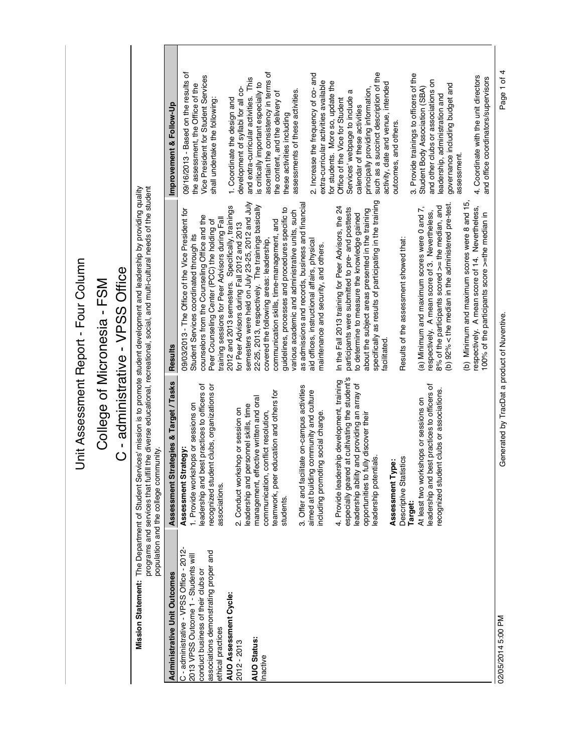| $\ddot{ }$ |
|------------|
|            |
|            |
|            |
|            |
|            |
|            |
|            |
|            |
| Š          |
|            |
|            |
|            |
| さくろくくく     |
|            |
|            |
|            |
|            |
|            |
|            |
|            |
|            |
|            |
|            |
|            |
|            |
|            |
|            |
|            |

## College of Micronesia - FSM College of Micronesia - FSM

## C - administrative - VPSS Office C - administrative - VPSS Office

Mission Statement: The Department of Student Services' mission is to promote student development and leadership by providing quality<br>programs and services that fulfill the diverse educational, recreational, social, and mul **Mission Statement:** The Department of Student Services' mission is to promote student development and leadership by providing quality programs and services that fulfill the diverse educational, recreational, social, and multi-cultural needs of the student

|                                                                                                                                                                                     | population and the college community                                                                                                                                                                                                                                 |                                                                                                                                                                                                                                                                                                                                                                                                            |                                                                                                                                                                                                                                                                                                     |
|-------------------------------------------------------------------------------------------------------------------------------------------------------------------------------------|----------------------------------------------------------------------------------------------------------------------------------------------------------------------------------------------------------------------------------------------------------------------|------------------------------------------------------------------------------------------------------------------------------------------------------------------------------------------------------------------------------------------------------------------------------------------------------------------------------------------------------------------------------------------------------------|-----------------------------------------------------------------------------------------------------------------------------------------------------------------------------------------------------------------------------------------------------------------------------------------------------|
| <b>Administrative Unit Outcomes</b>                                                                                                                                                 | ent Strategies & Target / Tasks<br>Assessm                                                                                                                                                                                                                           | <b>Results</b>                                                                                                                                                                                                                                                                                                                                                                                             | Improvement & Follow-Up                                                                                                                                                                                                                                                                             |
| C - administrative - VPSS Office - 2012-<br>associations demonstrating proper and<br>2013 VPSS Outcome 1 - Students will<br>conduct business of their clubs or<br>ethical practices | and best practices to officers of<br>recognized student clubs, organizations or<br>I. Provide workshops or sessions on<br>Assessment Strategy<br>associations.<br>eadership                                                                                          | 09/03/2013 - The Office of the Vice President for<br>counselors from the Counseling Office and the<br>training sessions for Peer Advisors during Fall<br>Peer Counseling Center (PCC) the holding of<br>Student Services coordinated through its                                                                                                                                                           | 09/16/2013 - Based on the results of<br>Vice President for Student Services<br>the assessment, the Office of the<br>shall undertake the following:                                                                                                                                                  |
| AUO Assessment Cycle:<br><b>AUO Status:</b><br>2012 - 2013<br>Inactive                                                                                                              | peer education and others for<br>management, effective written and oral<br>leadership and personnel skills, time<br>2. Conduct workshop or session on<br>communication, conflict resolution,<br>teamwork,<br>students.                                               | semesters were held on July 23-25, 2012 and July<br>2012 and 2013 semesters. Specifically, trainings<br>22-25, 2013, respectively. The trainings basically<br>guidelines, processes and procedures specific to<br>various academic and administrative units, such<br>covered the following areas: leadership,<br>communication skills, time-management, and<br>for Peer Advisors during Fall 2012 and 2013 | ascertain the consistency in terms of<br>and extra-curricular activities. This<br>is critically important especially to<br>development of syllabi for all co-<br>assessments of these activities.<br>the content, and the delivery of<br>1. Coordinate the design and<br>these activities including |
|                                                                                                                                                                                     | 3. Offer and facilitate on-campus activities<br>aimed at building community and culture<br>including promoting social change.                                                                                                                                        | as admissions and records, business and financial<br>aid offices, instructional affairs, physical<br>maintenance and security, and others.                                                                                                                                                                                                                                                                 | 2. Increase the frequency of co- and<br>extra-curricular activities available<br>for students. More so, update the                                                                                                                                                                                  |
|                                                                                                                                                                                     | especially geared at cultivating the student's<br>4. Provide leadership development, training<br>ability and providing an array of<br>opportunities to fully discover their<br>Descriptive Statistics<br>potentials.<br>Assessment Type:<br>leadership<br>leadership | specifically as results of participating in the training<br>In the Fall 2013 training for Peer Advisors, the 24<br>participants were submitted to pre- and posttests<br>about the subject areas presented in the training<br>to determine to measure the knowledge gained<br>Results of the assessment showed that:<br>facilitated                                                                         | such as a succinct description of the<br>activity, date and venue, intended<br>principally providing information,<br>ದ<br>Services' webpage to include<br>Office of the Vice for Student<br>calendar of these activities<br>outcomes, and others.                                                   |
|                                                                                                                                                                                     | and best practices to officers of<br>recognized student clubs or associations.<br>At least two workshops or sessions on<br>leadership<br><b>Target:</b>                                                                                                              | (b) Minimum and maximum scores were 8 and 15.<br>(b) 92% < the median in the administered pre-test.<br>8% of the participants scored >= the median, and<br>(a) Minimum and maximum scores were 0 and 7,<br>respectively. A mean score of 14. Nevertheless,<br>respectively. A mean score of 3. Nevertheless,<br>100% of the participants score >=the median in                                             | 3. Provide trainings to officers of the<br>4. Coordinate with the unit directors<br>and office coordinators/supervisors<br>and other clubs or associations on<br>governance including budget and<br>Student Body Association (SBA)<br>leadership, administration and<br>assessment.                 |

Page 1 of 4

02/05/2014 5:00 PM Generated by TracDat a product of Nuventive. Page 1 of 4Generated by TracDat a product of Nuventive.

02/05/2014 5:00 PM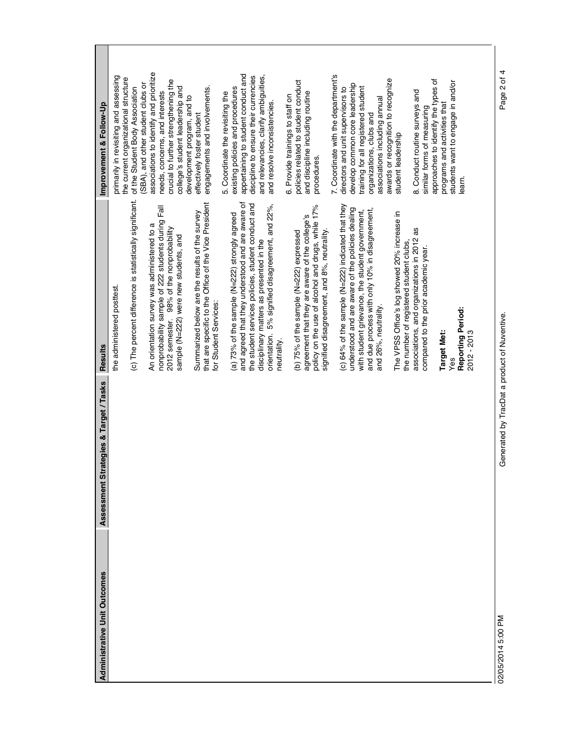| <b>Administrative Unit Outcomes</b> |                                            |                                                                                                   |                                                                              |
|-------------------------------------|--------------------------------------------|---------------------------------------------------------------------------------------------------|------------------------------------------------------------------------------|
|                                     | ategies & Target / Tasks<br>Assessment Str | <b>Results</b>                                                                                    | Improvement & Follow-Up                                                      |
|                                     |                                            | the administered posttest.                                                                        | primarily in revisiting and assessing                                        |
|                                     |                                            | (c) The percent difference is statistically significant.                                          | the current organizational structure<br>of the Student Body Association      |
|                                     |                                            |                                                                                                   | (SBA), and other student clubs or                                            |
|                                     |                                            | An orientation survey was administered to a                                                       | associations to identify and prioritize                                      |
|                                     |                                            | nonprobability sample of 222 students during Fall                                                 | needs, concerns, and interests                                               |
|                                     |                                            | 2012 semester. 98% of the nonprobability                                                          | crucial to further strengthening the                                         |
|                                     |                                            | sample (N=222) were new students, and                                                             | college's student leadership and                                             |
|                                     |                                            |                                                                                                   | development program, and to                                                  |
|                                     |                                            | Summarized below are the results of the survey                                                    | effectively foster student                                                   |
|                                     |                                            | that are specific to the Office of the Vice President<br>for Student Services:                    | engagements and involvements.                                                |
|                                     |                                            |                                                                                                   |                                                                              |
|                                     |                                            |                                                                                                   | 5. Coordinate the revisiting the                                             |
|                                     |                                            | and agreed that they understood and are aware of<br>(a) 73% of the sample (N=222) strongly agreed | existing policies and procedures                                             |
|                                     |                                            | the student services policies, student conduct and                                                | appertaining to student conduct and<br>discipline to ensure their currencies |
|                                     |                                            | disciplinary matters as presented in the                                                          | and relevancies, clarify ambiguities,                                        |
|                                     |                                            | orientation. 5% signified disagreement, and 22%,                                                  | and resolve inconsistencies.                                                 |
|                                     |                                            | neutrality.                                                                                       |                                                                              |
|                                     |                                            |                                                                                                   | 6. Provide trainings to staff on                                             |
|                                     |                                            | (b) 75% of the sample (N=222) expressed                                                           | policies related to student conduct                                          |
|                                     |                                            | agreement that they are aware of the college's                                                    | and discipline including routine                                             |
|                                     |                                            | policy on the use of alcohol and drugs, while 17%                                                 | procedures.                                                                  |
|                                     |                                            | signified disagreement, and 8%, neutrality.                                                       |                                                                              |
|                                     |                                            |                                                                                                   | 7. Coordinate with the department's                                          |
|                                     |                                            | (c) 64% of the sample (N=222) indicated that they                                                 | directors and unit supervisors to                                            |
|                                     |                                            | understood and are aware of the policies dealing                                                  | develop common core leadership                                               |
|                                     |                                            | with student grievance, the student government,                                                   | training for all registered student                                          |
|                                     |                                            | and due process with only 10% in disagreement,                                                    | organizations, clubs and                                                     |
|                                     |                                            | and 26%, neutrality.                                                                              | associations including annual                                                |
|                                     |                                            |                                                                                                   | awards or recognition to recognize                                           |
|                                     |                                            | The VPSS Office's log showed 20% increase in                                                      | student leadership                                                           |
|                                     |                                            | the number of registered student clubs,                                                           |                                                                              |
|                                     |                                            | associations, and organizations in 2012 as                                                        | 8. Conduct routine surveys and                                               |
|                                     |                                            | compared to the prior academic year.                                                              | similar forms of measuring                                                   |
|                                     |                                            |                                                                                                   | approaches to identify the types of                                          |
|                                     |                                            | <b>Target Met:</b>                                                                                | programs and activities that                                                 |
|                                     |                                            | Yes                                                                                               | students want to engage in and/or                                            |
|                                     |                                            | Reporting Period:                                                                                 | learn.                                                                       |
|                                     |                                            | 2012 - 2013                                                                                       |                                                                              |
|                                     |                                            |                                                                                                   |                                                                              |
|                                     |                                            |                                                                                                   |                                                                              |

02/05/2014 5:00 PM Generated by TracDat a product of Nuventive. Page 2 of 4Generated by TracDat a product of Nuventive.

Page 2 of 4

02/05/2014 5:00 PM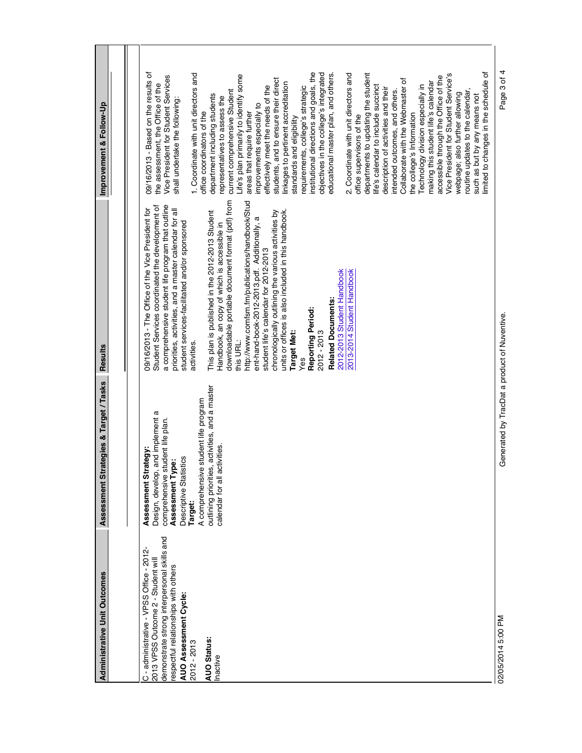|                                                              | ategies & Target / Tasks<br>Assessment Str     |                                                                                                        |                                                                              |  |
|--------------------------------------------------------------|------------------------------------------------|--------------------------------------------------------------------------------------------------------|------------------------------------------------------------------------------|--|
|                                                              |                                                |                                                                                                        |                                                                              |  |
|                                                              |                                                |                                                                                                        |                                                                              |  |
| C - administrative - VPSS Office - 2012-                     | ategy:<br>Assessment Str.                      | 09/16/2013 - The Office of the Vice President for                                                      | 09/16/2013 - Based on the results of                                         |  |
| 2013 VPSS Outcome 2 - Student will                           | and implement a<br>Design, develop,            | Student Services coordinated the development of                                                        | the assessment, the Office of the                                            |  |
| demonstrate strong interpersonal skills and                  | comprehensive student life plan.               | a comprehensive student life program that outline                                                      | Vice President for Student Services                                          |  |
| espectful relationships with others<br>AUO Assessment Cycle: | Descriptive Statistics<br>Assessment Type:     | priorities, activities, and a master calendar for all<br>student services-facilitated and/or sponsored | shall undertake the following:                                               |  |
| 2012 - 2013                                                  | <b>Target:</b>                                 | activities.                                                                                            | 1. Coordinate with unit directors and                                        |  |
|                                                              | student life program<br>A comprehensive        |                                                                                                        | office coordinators of the                                                   |  |
| <b>AUO Status:</b>                                           | outlining priorities, activities, and a master | This plan is published in the 2012-2013 Student                                                        | department including students                                                |  |
| Inactive                                                     | calendar for all activities.                   | Handbook, an copy of which is accessible in                                                            | representatives to assess the                                                |  |
|                                                              |                                                | downloadable portable document format (pdf) from                                                       | current comprehensive Student                                                |  |
|                                                              |                                                | this URL:                                                                                              | Life's plan primarily to identify some                                       |  |
|                                                              |                                                | http://www.comfsm.fm/publications/handbook/Stud                                                        | areas that require further                                                   |  |
|                                                              |                                                | ent-hand-book-2012-2013.pdf. Additionally, a                                                           | improvements especially to                                                   |  |
|                                                              |                                                | chronologically outlining the various activities by<br>student life's calendar for 2012-2013           | effectively meet the needs of the                                            |  |
|                                                              |                                                |                                                                                                        | students, and to ensure their direct                                         |  |
|                                                              |                                                | units or offices is also included in this handbook.                                                    | linkages to pertinent accreditation                                          |  |
|                                                              |                                                | <b>Target Met:</b>                                                                                     | standards and eligibility                                                    |  |
|                                                              |                                                | Yes                                                                                                    | requirements, college's strategic                                            |  |
|                                                              |                                                | Reporting Period:                                                                                      | institutional directions and goals, the                                      |  |
|                                                              |                                                | 2012 - 2013                                                                                            | objectives in the college's integrated                                       |  |
|                                                              |                                                | <b>Related Documents:</b>                                                                              | educational master plan, and others.                                         |  |
|                                                              |                                                | 2012-2013 Student Handbook                                                                             |                                                                              |  |
|                                                              |                                                | 2013-2014 Student Handbook                                                                             | 2. Coordinate with unit directors and                                        |  |
|                                                              |                                                |                                                                                                        | office supervisors of the                                                    |  |
|                                                              |                                                |                                                                                                        | departments to updating the student                                          |  |
|                                                              |                                                |                                                                                                        | life's calendar to include succinct                                          |  |
|                                                              |                                                |                                                                                                        | description of activities and their                                          |  |
|                                                              |                                                |                                                                                                        | intended outcomes, and others.                                               |  |
|                                                              |                                                |                                                                                                        | Collaborate with the Webmaster of                                            |  |
|                                                              |                                                |                                                                                                        | the college's Information                                                    |  |
|                                                              |                                                |                                                                                                        | Technology division especially in                                            |  |
|                                                              |                                                |                                                                                                        | making this student life's calendar                                          |  |
|                                                              |                                                |                                                                                                        | Vice President for Student Service's<br>accessible through the Office of the |  |
|                                                              |                                                |                                                                                                        |                                                                              |  |
|                                                              |                                                |                                                                                                        | webpage; also further allowing                                               |  |
|                                                              |                                                |                                                                                                        | routine updates to the calendar,                                             |  |
|                                                              |                                                |                                                                                                        | imited to changes in the schedule of<br>such as but by any means not         |  |
|                                                              |                                                |                                                                                                        |                                                                              |  |
| 02/05/2014 5:00 PM                                           | Generated by TracDat a product of Nuventive.   |                                                                                                        | Page 3 of 4                                                                  |  |
|                                                              |                                                |                                                                                                        |                                                                              |  |
|                                                              |                                                |                                                                                                        |                                                                              |  |
|                                                              |                                                |                                                                                                        |                                                                              |  |